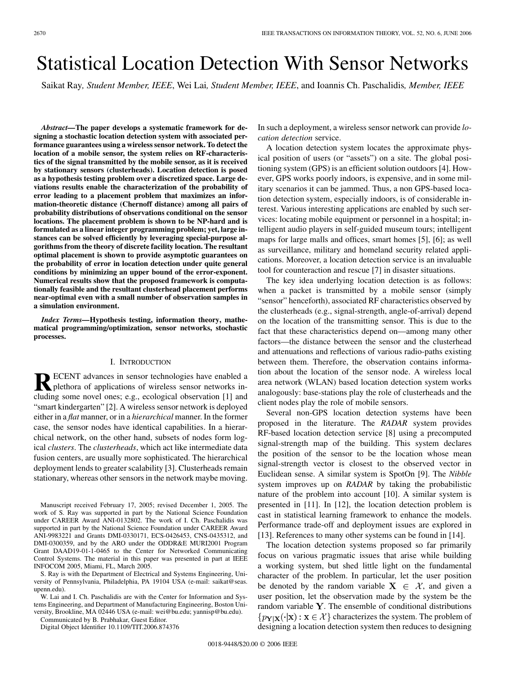# Statistical Location Detection With Sensor Networks

Saikat Ray*, Student Member, IEEE*, Wei Lai*, Student Member, IEEE*, and Ioannis Ch. Paschalidis*, Member, IEEE*

*Abstract—***The paper develops a systematic framework for designing a stochastic location detection system with associated performance guarantees using a wireless sensor network. To detect the location of a mobile sensor, the system relies on RF-characteristics of the signal transmitted by the mobile sensor, as it is received by stationary sensors (clusterheads). Location detection is posed as a hypothesis testing problem over a discretized space. Large deviations results enable the characterization of the probability of error leading to a placement problem that maximizes an information-theoretic distance (Chernoff distance) among all pairs of probability distributions of observations conditional on the sensor locations. The placement problem is shown to be NP-hard and is formulated as a linear integer programming problem; yet, large instances can be solved efficiently by leveraging special-purpose algorithms from the theory of discrete facility location. The resultant optimal placement is shown to provide asymptotic guarantees on the probability of error in location detection under quite general conditions by minimizing an upper bound of the error-exponent. Numerical results show that the proposed framework is computationally feasible and the resultant clusterhead placement performs near-optimal even with a small number of observation samples in a simulation environment.**

*Index Terms—***Hypothesis testing, information theory, mathematical programming/optimization, sensor networks, stochastic processes.**

#### I. INTRODUCTION

**RECENT** advances in sensor technologies have enabled a plethora of applications of wireless sensor networks including some novel ones; e.g., ecological observation [[1\]](#page-13-0) and "smart kindergarten" [[2\]](#page-13-0). A wireless sensor network is deployed either in a *flat* manner, or in a *hierarchical* manner. In the former case, the sensor nodes have identical capabilities. In a hierarchical network, on the other hand, subsets of nodes form logical *clusters*. The *clusterheads*, which act like intermediate data fusion centers, are usually more sophisticated. The hierarchical deployment lends to greater scalability [[3\]](#page-13-0). Clusterheads remain stationary, whereas other sensors in the network maybe moving.

Manuscript received February 17, 2005; revised December 1, 2005. The work of S. Ray was supported in part by the National Science Foundation under CAREER Award ANI-0132802. The work of I. Ch. Paschalidis was supported in part by the National Science Foundation under CAREER Award ANI-9983221 and Grants DMI-0330171, ECS-0426453, CNS-0435312, and DMI-0300359, and by the ARO under the ODDR&E MURI2001 Program Grant DAAD19-01-1-0465 to the Center for Networked Communicating Control Systems. The material in this paper was presented in part at IEEE INFOCOM 2005, Miami, FL, March 2005.

S. Ray is with the Department of Electrical and Systems Engineering, University of Pennsylvania, Philadelphia, PA 19104 USA (e-mail: saikat@seas. upenn.edu).

W. Lai and I. Ch. Paschalidis are with the Center for Information and Systems Engineering, and Department of Manufacturing Engineering, Boston University, Brookline, MA 02446 USA (e-mail: wei@bu.edu; yannisp@bu.edu).

Communicated by B. Prabhakar, Guest Editor.

Digital Object Identifier 10.1109/TIT.2006.874376

In such a deployment, a wireless sensor network can provide *location detection* service.

A location detection system locates the approximate physical position of users (or "assets") on a site. The global positioning system (GPS) is an efficient solution outdoors [\[4](#page-13-0)]. However, GPS works poorly indoors, is expensive, and in some military scenarios it can be jammed. Thus, a non GPS-based location detection system, especially indoors, is of considerable interest. Various interesting applications are enabled by such services: locating mobile equipment or personnel in a hospital; intelligent audio players in self-guided museum tours; intelligent maps for large malls and offices, smart homes [\[5](#page-13-0)], [\[6](#page-13-0)]; as well as surveillance, military and homeland security related applications. Moreover, a location detection service is an invaluable tool for counteraction and rescue [[7\]](#page-13-0) in disaster situations.

The key idea underlying location detection is as follows: when a packet is transmitted by a mobile sensor (simply "sensor" henceforth), associated RF characteristics observed by the clusterheads (e.g., signal-strength, angle-of-arrival) depend on the location of the transmitting sensor. This is due to the fact that these characteristics depend on—among many other factors—the distance between the sensor and the clusterhead and attenuations and reflections of various radio-paths existing between them. Therefore, the observation contains information about the location of the sensor node. A wireless local area network (WLAN) based location detection system works analogously: base-stations play the role of clusterheads and the client nodes play the role of mobile sensors.

Several non-GPS location detection systems have been proposed in the literature. The *RADAR* system provides RF-based location detection service [\[8\]](#page-13-0) using a precomputed signal-strength map of the building. This system declares the position of the sensor to be the location whose mean signal-strength vector is closest to the observed vector in Euclidean sense. A similar system is SpotOn [[9\]](#page-13-0). The *Nibble* system improves up on *RADAR* by taking the probabilistic nature of the problem into account [[10\]](#page-13-0). A similar system is presented in [\[11](#page-13-0)]. In [\[12](#page-13-0)], the location detection problem is cast in statistical learning framework to enhance the models. Performance trade-off and deployment issues are explored in [[13\]](#page-13-0). References to many other systems can be found in [\[14](#page-13-0)].

The location detection systems proposed so far primarily focus on various pragmatic issues that arise while building a working system, but shed little light on the fundamental character of the problem. In particular, let the user position be denoted by the random variable  $X \in \mathcal{X}$ , and given a user position, let the observation made by the system be the random variable  $Y$ . The ensemble of conditional distributions  $\{p_{\mathbf{Y}|\mathbf{X}}(\cdot|\mathbf{x}) : \mathbf{x} \in \mathcal{X}\}\)$  characterizes the system. The problem of designing a location detection system then reduces to designing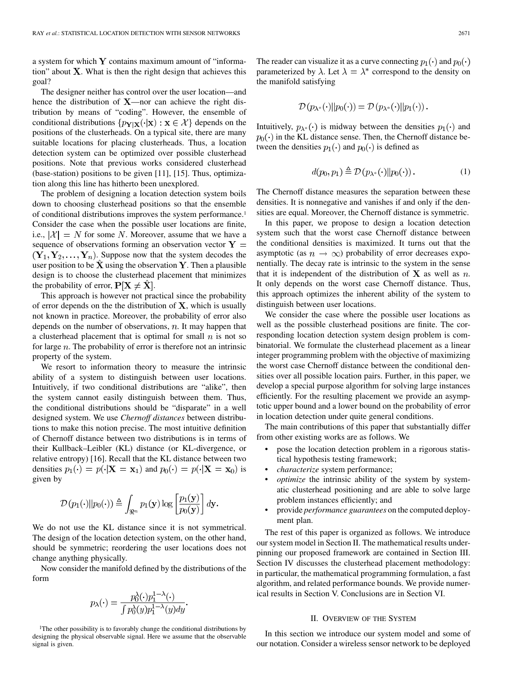a system for which  $Y$  contains maximum amount of "information" about  $X$ . What is then the right design that achieves this goal?

The designer neither has control over the user location—and hence the distribution of  $X$ —nor can achieve the right distribution by means of "coding". However, the ensemble of conditional distributions  $\{p_{\mathbf{Y}|\mathbf{X}}(\cdot|\mathbf{x}) : \mathbf{x} \in \mathcal{X}\}\)$  depends on the positions of the clusterheads. On a typical site, there are many suitable locations for placing clusterheads. Thus, a location detection system can be optimized over possible clusterhead positions. Note that previous works considered clusterhead (base-station) positions to be given [[11\]](#page-13-0), [\[15\]](#page-13-0). Thus, optimization along this line has hitherto been unexplored.

The problem of designing a location detection system boils down to choosing clusterhead positions so that the ensemble of conditional distributions improves the system performance.1 Consider the case when the possible user locations are finite, i.e.,  $|\mathcal{X}| = N$  for some N. Moreover, assume that we have a sequence of observations forming an observation vector  $Y =$  $(Y_1, Y_2, \ldots, Y_n)$ . Suppose now that the system decodes the user position to be  $\hat{\mathbf{X}}$  using the observation Y. Then a plausible design is to choose the clusterhead placement that minimizes the probability of error,  $P[X \neq X]$ .

This approach is however not practical since the probability of error depends on the the distribution of  $X$ , which is usually not known in practice. Moreover, the probability of error also depends on the number of observations,  $n$ . It may happen that a clusterhead placement that is optimal for small  $n$  is not so for large  $n$ . The probability of error is therefore not an intrinsic property of the system.

We resort to information theory to measure the intrinsic ability of a system to distinguish between user locations. Intuitively, if two conditional distributions are "alike", then the system cannot easily distinguish between them. Thus, the conditional distributions should be "disparate" in a well designed system. We use *Chernoff distances* between distributions to make this notion precise. The most intuitive definition of Chernoff distance between two distributions is in terms of their Kullback–Leibler (KL) distance (or KL-divergence, or relative entropy) [[16](#page-13-0)]. Recall that the KL distance between two densities  $p_1(\cdot) = p(\cdot|\mathbf{X} = \mathbf{x}_1)$  and  $p_0(\cdot) = p(\cdot|\mathbf{X} = \mathbf{x}_0)$  is given by

$$
\mathcal{D}(p_1(\cdot)||p_0(\cdot)) \triangleq \int_{\Re^n} p_1(\mathbf{y}) \log \left[ \frac{p_1(\mathbf{y})}{p_0(\mathbf{y})} \right] d\mathbf{y}
$$

We do not use the KL distance since it is not symmetrical. The design of the location detection system, on the other hand, should be symmetric; reordering the user locations does not change anything physically.

Now consider the manifold defined by the distributions of the form

$$
p_{\lambda}(\cdot) = \frac{p_0^{\lambda}(\cdot)p_1^{1-\lambda}(\cdot)}{\int p_0^{\lambda}(y)p_1^{1-\lambda}(y)dy}.
$$

<sup>1</sup>The other possibility is to favorably change the conditional distributions by designing the physical observable signal. Here we assume that the observable signal is given.

The reader can visualize it as a curve connecting  $p_1(\cdot)$  and  $p_0(\cdot)$ parameterized by  $\lambda$ . Let  $\lambda = \lambda^*$  correspond to the density on the manifold satisfying

$$
\mathcal{D}(p_{\lambda^*}(\cdot)||p_0(\cdot)) = \mathcal{D}(p_{\lambda^*}(\cdot)||p_1(\cdot)).
$$

Intuitively,  $p_{\lambda^*}(\cdot)$  is midway between the densities  $p_1(\cdot)$  and  $p_0(\cdot)$  in the KL distance sense. Then, the Chernoff distance between the densities  $p_1(\cdot)$  and  $p_0(\cdot)$  is defined as

$$
d(p_0, p_1) \triangleq \mathcal{D}(p_{\lambda^*}(\cdot)||p_0(\cdot)). \tag{1}
$$

The Chernoff distance measures the separation between these densities. It is nonnegative and vanishes if and only if the densities are equal. Moreover, the Chernoff distance is symmetric.

In this paper, we propose to design a location detection system such that the worst case Chernoff distance between the conditional densities is maximized. It turns out that the asymptotic (as  $n \to \infty$ ) probability of error decreases exponentially. The decay rate is intrinsic to the system in the sense that it is independent of the distribution of  $X$  as well as  $n$ . It only depends on the worst case Chernoff distance. Thus, this approach optimizes the inherent ability of the system to distinguish between user locations.

We consider the case where the possible user locations as well as the possible clusterhead positions are finite. The corresponding location detection system design problem is combinatorial. We formulate the clusterhead placement as a linear integer programming problem with the objective of maximizing the worst case Chernoff distance between the conditional densities over all possible location pairs. Further, in this paper, we develop a special purpose algorithm for solving large instances efficiently. For the resulting placement we provide an asymptotic upper bound and a lower bound on the probability of error in location detection under quite general conditions.

The main contributions of this paper that substantially differ from other existing works are as follows. We

- pose the location detection problem in a rigorous statistical hypothesis testing framework;
- *characterize* system performance;
- *optimize* the intrinsic ability of the system by systematic clusterhead positioning and are able to solve large problem instances efficiently; and
- provide *performance guarantees* on the computed deployment plan.

The rest of this paper is organized as follows. We introduce our system model in Section II. The mathematical results underpinning our proposed framework are contained in Section III. Section IV discusses the clusterhead placement methodology: in particular, the mathematical programming formulation, a fast algorithm, and related performance bounds. We provide numerical results in Section V. Conclusions are in Section VI.

# II. OVERVIEW OF THE SYSTEM

In this section we introduce our system model and some of our notation. Consider a wireless sensor network to be deployed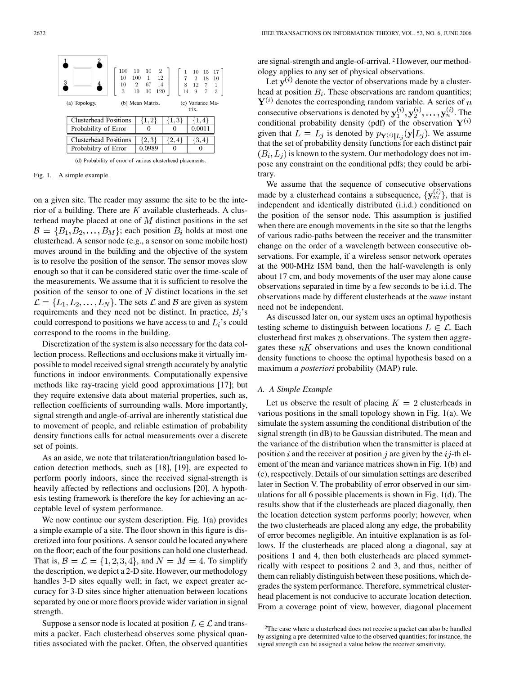

(d) Probability of error of various clusterhead placements

Fig. 1. A simple example.

on a given site. The reader may assume the site to be the interior of a building. There are  $K$  available clusterheads. A clusterhead maybe placed at one of  $M$  distinct positions in the set  $\mathcal{B} = \{B_1, B_2, \ldots, B_M\}$ ; each position  $B_i$  holds at most one clusterhead. A sensor node (e.g., a sensor on some mobile host) moves around in the building and the objective of the system is to resolve the position of the sensor. The sensor moves slow enough so that it can be considered static over the time-scale of the measurements. We assume that it is sufficient to resolve the position of the sensor to one of  $N$  distinct locations in the set  $\mathcal{L} = \{L_1, L_2, \dots, L_N\}$ . The sets  $\mathcal L$  and  $\mathcal B$  are given as system requirements and they need not be distinct. In practice,  $B_i$ 's could correspond to positions we have access to and  $L_i$ 's could correspond to the rooms in the building.

Discretization of the system is also necessary for the data collection process. Reflections and occlusions make it virtually impossible to model received signal strength accurately by analytic functions in indoor environments. Computationally expensive methods like ray-tracing yield good approximations [\[17](#page-13-0)]; but they require extensive data about material properties, such as, reflection coefficients of surrounding walls. More importantly, signal strength and angle-of-arrival are inherently statistical due to movement of people, and reliable estimation of probability density functions calls for actual measurements over a discrete set of points.

As an aside, we note that trilateration/triangulation based location detection methods, such as [[18\]](#page-13-0), [\[19](#page-13-0)], are expected to perform poorly indoors, since the received signal-strength is heavily affected by reflections and occlusions [[20\]](#page-13-0). A hypothesis testing framework is therefore the key for achieving an acceptable level of system performance.

We now continue our system description. Fig. 1(a) provides a simple example of a site. The floor shown in this figure is discretized into four positions. A sensor could be located anywhere on the floor; each of the four positions can hold one clusterhead. That is,  $\mathcal{B} = \mathcal{L} = \{1, 2, 3, 4\}$ , and  $N = M = 4$ . To simplify the description, we depict a 2-D site. However, our methodology handles 3-D sites equally well; in fact, we expect greater accuracy for 3-D sites since higher attenuation between locations separated by one or more floors provide wider variation in signal strength.

Suppose a sensor node is located at position  $L \in \mathcal{L}$  and transmits a packet. Each clusterhead observes some physical quantities associated with the packet. Often, the observed quantities

are signal-strength and angle-of-arrival. <sup>2</sup> However, our methodology applies to any set of physical observations.

Let  $y^{(i)}$  denote the vector of observations made by a clusterhead at position  $B_i$ . These observations are random quantities;  $Y^{(i)}$  denotes the corresponding random variable. A series of n consecutive observations is denoted by  $y_1^{(i)}, y_2^{(i)}, \ldots, y_n^{(i)}$ . The conditional probability density (pdf) of the observation  $Y^{(i)}$ given that  $L = L_j$  is denoted by  $p_{\mathbf{Y}^{(i)}|L_j}(\mathbf{y}|L_j)$ . We assume that the set of probability density functions for each distinct pair  $(B_i, L_i)$  is known to the system. Our methodology does not impose any constraint on the conditional pdfs; they could be arbitrary.

We assume that the sequence of consecutive observations made by a clusterhead contains a subsequence,  $\{y_m^{(i)}\}$ , that is independent and identically distributed (i.i.d.) conditioned on the position of the sensor node. This assumption is justified when there are enough movements in the site so that the lengths of various radio-paths between the receiver and the transmitter change on the order of a wavelength between consecutive observations. For example, if a wireless sensor network operates at the 900-MHz ISM band, then the half-wavelength is only about 17 cm, and body movements of the user may alone cause observations separated in time by a few seconds to be i.i.d. The observations made by different clusterheads at the *same* instant need not be independent.

As discussed later on, our system uses an optimal hypothesis testing scheme to distinguish between locations  $L \in \mathcal{L}$ . Each clusterhead first makes  $n$  observations. The system then aggregates these  $nK$  observations and uses the known conditional density functions to choose the optimal hypothesis based on a maximum *a posteriori* probability (MAP) rule.

# *A. A Simple Example*

Let us observe the result of placing  $K = 2$  clusterheads in various positions in the small topology shown in Fig. 1(a). We simulate the system assuming the conditional distribution of the signal strength (in dB) to be Gaussian distributed. The mean and the variance of the distribution when the transmitter is placed at position i and the receiver at position j are given by the  $ij$ -th element of the mean and variance matrices shown in Fig. 1(b) and (c), respectively. Details of our simulation settings are described later in Section V. The probability of error observed in our simulations for all 6 possible placements is shown in Fig. 1(d). The results show that if the clusterheads are placed diagonally, then the location detection system performs poorly; however, when the two clusterheads are placed along any edge, the probability of error becomes negligible. An intuitive explanation is as follows. If the clusterheads are placed along a diagonal, say at positions 1 and 4, then both clusterheads are placed symmetrically with respect to positions 2 and 3, and thus, neither of them can reliably distinguish between these positions, which degrades the system performance. Therefore, symmetrical clusterhead placement is not conducive to accurate location detection. From a coverage point of view, however, diagonal placement

<sup>2</sup>The case where a clusterhead does not receive a packet can also be handled by assigning a pre-determined value to the observed quantities; for instance, the signal strength can be assigned a value below the receiver sensitivity.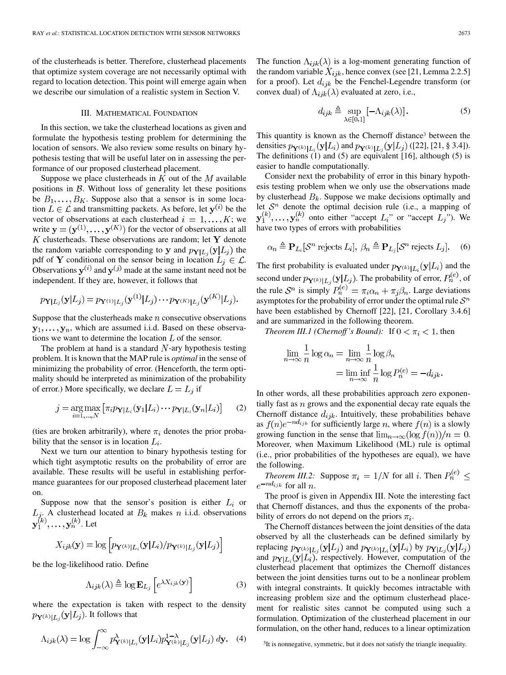of the clusterheads is better. Therefore, clusterhead placements that optimize system coverage are not necessarily optimal with regard to location detection. This point will emerge again when we describe our simulation of a realistic system in Section V.

## III. MATHEMATICAL FOUNDATION

In this section, we take the clusterhead locations as given and formulate the hypothesis testing problem for determining the location of sensors. We also review some results on binary hypothesis testing that will be useful later on in assessing the performance of our proposed clusterhead placement.

Suppose we place clusterheads in  $K$  out of the  $M$  available positions in  $\beta$ . Without loss of generality let these positions be  $B_1, \ldots, B_K$ . Suppose also that a sensor is in some location  $L \in \mathcal{L}$  and transmitting packets. As before, let  $y^{(i)}$  be the vector of observations at each clusterhead  $i = 1, \ldots, K$ ; we write  $\mathbf{y} = (\mathbf{y}^{(1)}, \dots, \mathbf{y}^{(K)})$  for the vector of observations at all  $K$  clusterheads. These observations are random; let  $Y$  denote the random variable corresponding to y and  $p_{Y|L_i}(y|L_i)$  the pdf of Y conditional on the sensor being in location  $L_i \in \mathcal{L}$ . Observations  $y^{(i)}$  and  $y^{(j)}$  made at the same instant need not be independent. If they are, however, it follows that

$$
p_{\mathbf{Y}|L_j}(\mathbf{y}|L_j) = p_{\mathbf{Y}^{(1)}|L_j}(\mathbf{y}^{(1)}|L_j) \cdots p_{\mathbf{Y}^{(K)}|L_j}(\mathbf{y}^{(K)}|L_j).
$$

Suppose that the clusterheads make  $n$  consecutive observations  $y_1, \ldots, y_n$ , which are assumed i.i.d. Based on these observations we want to determine the location  $L$  of the sensor.

The problem at hand is a standard  $N$ -ary hypothesis testing problem. It is known that the MAP rule is *optimal* in the sense of minimizing the probability of error. (Henceforth, the term optimality should be interpreted as minimization of the probability of error.) More specifically, we declare  $L = L_i$  if

$$
j = \underset{i=1,\dots,N}{\arg \max} \left[ \pi_i p_{\mathbf{Y}|L_i}(\mathbf{y}_1|L_i) \cdots p_{\mathbf{Y}|L_i}(\mathbf{y}_n|L_i) \right] \tag{2}
$$

(ties are broken arbitrarily), where  $\pi_i$  denotes the prior probability that the sensor is in location  $L_i$ .

Next we turn our attention to binary hypothesis testing for which tight asymptotic results on the probability of error are available. These results will be useful in establishing performance guarantees for our proposed clusterhead placement later on.

Suppose now that the sensor's position is either  $L_i$  or . A clusterhead located at  $B_k$  makes n i.i.d. observations . Let

$$
X_{ijk}(\mathbf{y}) = \log \left[ p_{\mathbf{Y}^{(k)}|L_i}(\mathbf{y}|L_i) / p_{\mathbf{Y}^{(k)}|L_j}(\mathbf{y}|L_j) \right]
$$

be the log-likelihood ratio. Define

$$
\Lambda_{ijk}(\lambda) \triangleq \log \mathbf{E}_{L_j} \left[ e^{\lambda X_{ijk}(\mathbf{y})} \right] \tag{3}
$$

where the expectation is taken with respect to the density  $p_{\mathbf{Y}^{(k)}|L_i}(\mathbf{y}|L_i)$ . It follows that

$$
\Lambda_{ijk}(\lambda) = \log \int_{-\infty}^{\infty} p_{\mathbf{Y}^{(k)}|L_i}^{\lambda}(\mathbf{y}|L_i) p_{\mathbf{Y}^{(k)}|L_j}^{1-\lambda}(\mathbf{y}|L_j) d\mathbf{y}.
$$
 (4)

The function  $\Lambda_{ijk}(\lambda)$  is a log-moment generating function of the random variable  $X_{ijk}$ , hence convex (see [\[21](#page-13-0), Lemma 2.2.5] for a proof). Let  $d_{ijk}$  be the Fenchel-Legendre transform (or convex dual) of  $\Lambda_{ijk}(\lambda)$  evaluated at zero, i.e.,

$$
d_{ijk} \triangleq \sup_{\lambda \in [0,1]} \left[ -\Lambda_{ijk}(\lambda) \right]. \tag{5}
$$

This quantity is known as the Chernoff distance<sup>3</sup> between the densities  $p_{\mathbf{Y}^{(k)}|L_i}(\mathbf{y}|L_i)$  and  $p_{\mathbf{Y}^{(k)}|L_i}(\mathbf{y}|L_j)$  ([[22](#page-13-0)], [[21,](#page-13-0) § 3.4]). The definitions (1) and (5) are equivalent [\[16](#page-13-0)], although (5) is easier to handle computationally.

Consider next the probability of error in this binary hypothesis testing problem when we only use the observations made by clusterhead  $B_k$ . Suppose we make decisions optimally and let  $S<sup>n</sup>$  denote the optimal decision rule (i.e., a mapping of  $\mathbf{y}_1^{(k)}, \ldots, \mathbf{y}_n^{(k)}$  onto either "accept  $L_i$ " or "accept  $L_j$ "). We have two types of errors with probabilities

$$
\alpha_n \triangleq \mathbf{P}_{L_i}[\mathcal{S}^n \text{ rejects } L_i], \ \beta_n \triangleq \mathbf{P}_{L_j}[\mathcal{S}^n \text{ rejects } L_j].
$$
 (6)

The first probability is evaluated under  $p_{\mathbf{Y}^{(k)}|L_i}(\mathbf{y}|L_i)$  and the second under  $p_{\mathbf{Y}^{(k)}|L_j}(\mathbf{y}|L_j)$ . The probability of error,  $P_n^{(e)}$ , of the rule  $S^n$  is simply  $P_n^{(e)} = \pi_i \alpha_n + \pi_i \beta_n$ . Large deviations asymptotes for the probability of error under the optimal rule  $\mathcal{S}^n$ have been established by Chernoff [[22\]](#page-13-0), [\[21](#page-13-0), Corollary 3.4.6] and are summarized in the following theorem.

*Theorem III.1 (Chernoff's Bound):* If  $0 < \pi_i < 1$ , then

$$
\lim_{n \to \infty} \frac{1}{n} \log \alpha_n = \lim_{n \to \infty} \frac{1}{n} \log \beta_n
$$

$$
= \lim_{n \to \infty} \frac{1}{n} \log P_n^{(e)} = -d_{ijk}
$$

In other words, all these probabilities approach zero exponentially fast as  $n$  grows and the exponential decay rate equals the Chernoff distance  $d_{ijk}$ . Intuitively, these probabilities behave as  $f(n)e^{-nd_{ijk}}$  for sufficiently large n, where  $f(n)$  is a slowly growing function in the sense that  $\lim_{n\to\infty} (\log f(n))/n = 0$ . Moreover, when Maximum Likelihood (ML) rule is optimal (i.e., prior probabilities of the hypotheses are equal), we have the following.

*Theorem III.2:* Suppose  $\pi_i = 1/N$  for all i. Then  $P_n^{(e)} \leq$  $e^{-nd_{ijk}}$  for all n.

The proof is given in Appendix III. Note the interesting fact that Chernoff distances, and thus the exponents of the probability of errors do not depend on the priors  $\pi_i$ .

The Chernoff distances between the joint densities of the data observed by all the clusterheads can be defined similarly by replacing  $p_{\mathbf{Y}^{(k)}|L_i}(\mathbf{y}|L_j)$  and  $p_{\mathbf{Y}^{(k)}|L_i}(\mathbf{y}|L_i)$  by  $p_{\mathbf{Y}|L_i}(\mathbf{y}|L_j)$ and  $p_{Y|L_i}(y|L_i)$ , respectively. However, computation of the clusterhead placement that optimizes the Chernoff distances between the joint densities turns out to be a nonlinear problem with integral constraints. It quickly becomes intractable with increasing problem size and the optimum clusterhead placement for realistic sites cannot be computed using such a formulation. Optimization of the clusterhead placement in our formulation, on the other hand, reduces to a linear optimization

<sup>3</sup>It is nonnegative, symmetric, but it does not satisfy the triangle inequality.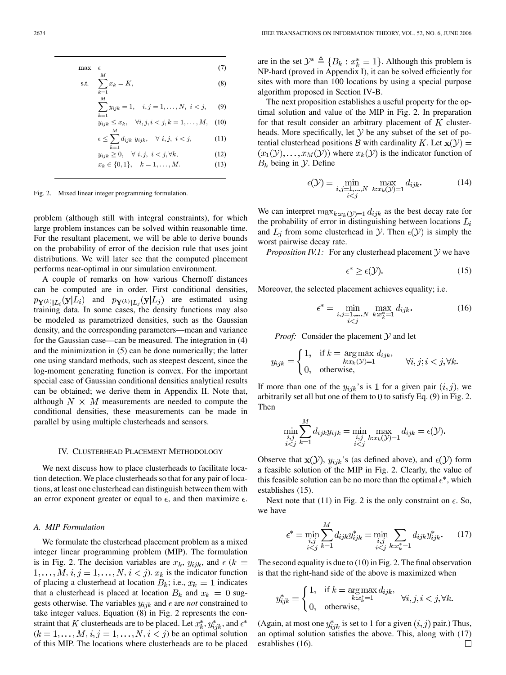$$
\max \quad \epsilon \tag{7}
$$

t. 
$$
\sum_{k=1} x_k = K,
$$
 (8)

$$
\sum_{k=1}^{n} y_{ijk} = 1, \quad i, j = 1, \dots, N, \ i < j, \qquad (9)
$$

$$
y_{ijk} \leq x_k, \quad \forall i, j, i < j, k = 1, \dots, M, \quad (10)
$$

$$
\epsilon \le \sum d_{ijk} y_{ijk}, \quad \forall \ i, j, \ i < j,
$$
 (11)

$$
y_{ijk} \ge 0, \quad \forall \ i, j, \ i < j, \forall k,\tag{12}
$$

$$
x_k \in \{0, 1\}, \quad k = 1, \dots, M. \tag{13}
$$

#### Fig. 2. Mixed linear integer programming formulation.

problem (although still with integral constraints), for which large problem instances can be solved within reasonable time. For the resultant placement, we will be able to derive bounds on the probability of error of the decision rule that uses joint distributions. We will later see that the computed placement performs near-optimal in our simulation environment.

A couple of remarks on how various Chernoff distances can be computed are in order. First conditional densities,  $p_{\mathbf{Y}^{(k)}|L_i}(\mathbf{y}|L_i)$  and  $p_{\mathbf{Y}^{(k)}|L_i}(\mathbf{y}|L_j)$  are estimated using training data. In some cases, the density functions may also be modeled as parametrized densities, such as the Gaussian density, and the corresponding parameters—mean and variance for the Gaussian case—can be measured. The integration in (4) and the minimization in (5) can be done numerically; the latter one using standard methods, such as steepest descent, since the log-moment generating function is convex. For the important special case of Gaussian conditional densities analytical results can be obtained; we derive them in Appendix II. Note that, although  $N \times M$  measurements are needed to compute the conditional densities, these measurements can be made in parallel by using multiple clusterheads and sensors.

#### IV. CLUSTERHEAD PLACEMENT METHODOLOGY

We next discuss how to place clusterheads to facilitate location detection. We place clusterheads so that for any pair of locations, at least one clusterhead can distinguish between them with an error exponent greater or equal to  $\epsilon$ , and then maximize  $\epsilon$ .

## *A. MIP Formulation*

We formulate the clusterhead placement problem as a mixed integer linear programming problem (MIP). The formulation is in Fig. 2. The decision variables are  $x_k$ ,  $y_{ijk}$ , and  $\epsilon$  ( $k =$  $1, \ldots, M, i, j = 1, \ldots, N, i < j$ ).  $x_k$  is the indicator function of placing a clusterhead at location  $B_k$ ; i.e.,  $x_k = 1$  indicates that a clusterhead is placed at location  $B_k$  and  $x_k = 0$  suggests otherwise. The variables  $y_{ijk}$  and  $\epsilon$  are *not* constrained to take integer values. Equation (8) in Fig. 2 represents the constraint that K clusterheads are to be placed. Let  $x_k^*, y_{ijk}^*$ , and  $\epsilon^*$  $(k = 1, \ldots, M, i, j = 1, \ldots, N, i < j)$  be an optimal solution of this MIP. The locations where clusterheads are to be placed are in the set  $\mathcal{Y}^* \triangleq \{B_k : x_k^* = 1\}$ . Although this problem is NP-hard (proved in Appendix I), it can be solved efficiently for sites with more than 100 locations by using a special purpose algorithm proposed in Section IV-B.

The next proposition establishes a useful property for the optimal solution and value of the MIP in Fig. 2. In preparation for that result consider an arbitrary placement of  $K$  clusterheads. More specifically, let  $\mathcal Y$  be any subset of the set of potential clusterhead positions B with cardinality K. Let  $\mathbf{x}(\mathcal{Y}) =$  $(x_1(\mathcal{Y}), \ldots, x_M(\mathcal{Y}))$  where  $x_k(\mathcal{Y})$  is the indicator function of  $B_k$  being in  $\mathcal{Y}$ . Define

$$
\epsilon(\mathcal{Y}) = \min_{\substack{i,j=1,\dots,N \\ i < j}} \max_{k:x_k(\mathcal{Y})=1} d_{ijk}.\tag{14}
$$

We can interpret  $\max_{k:x_k(y)=1} d_{ijk}$  as the best decay rate for the probability of error in distinguishing between locations  $L_i$ and  $L_i$  from some clusterhead in  $\mathcal Y$ . Then  $\epsilon(\mathcal Y)$  is simply the worst pairwise decay rate.

*Proposition IV.1:* For any clusterhead placement  $\mathcal Y$  we have

$$
\epsilon^* \ge \epsilon(\mathcal{Y}).\tag{15}
$$

Moreover, the selected placement achieves equality; i.e.

$$
\epsilon^* = \min_{\substack{i,j=1,\dots,N\\i
$$

*Proof:* Consider the placement  $\mathcal Y$  and let

$$
y_{ijk} = \begin{cases} 1, & \text{if } k = \arg\max_{k:x_k(y)=1} d_{ijk}, \\ 0, & \text{otherwise}, \end{cases} \quad \forall i, j; i < j, \forall k.
$$

If more than one of the  $y_{ijk}$ 's is 1 for a given pair  $(i, j)$ , we arbitrarily set all but one of them to  $0$  to satisfy Eq.  $(9)$  in Fig. 2. Then

$$
\min_{\substack{i,j \ i
$$

Observe that  $\mathbf{x}(\mathcal{Y})$ ,  $y_{ijk}$ 's (as defined above), and  $\epsilon(\mathcal{Y})$  form a feasible solution of the MIP in Fig. 2. Clearly, the value of this feasible solution can be no more than the optimal  $\epsilon^*$ , which establishes (15).

Next note that (11) in Fig. 2 is the only constraint on  $\epsilon$ . So, we have

$$
\epsilon^* = \min_{\substack{i,j \\ i < j}} \sum_{k=1}^M d_{ijk} y_{ijk}^* = \min_{\substack{i,j \\ i < j}} \sum_{k: x_k^* = 1} d_{ijk} y_{ijk}^* . \tag{17}
$$

The second equality is due to (10) in Fig. 2. The final observation is that the right-hand side of the above is maximized when

$$
y_{ijk}^* = \begin{cases} 1, & \text{if } k = \arg\max_{k: x_k^* = 1} d_{ijk}, \\ 0, & \text{otherwise}, \end{cases} \quad \forall i, j, i < j, \forall k.
$$

(Again, at most one  $y_{ijk}^*$  is set to 1 for a given  $(i, j)$  pair.) Thus, an optimal solution satisfies the above. This, along with (17) establishes (16). $\Box$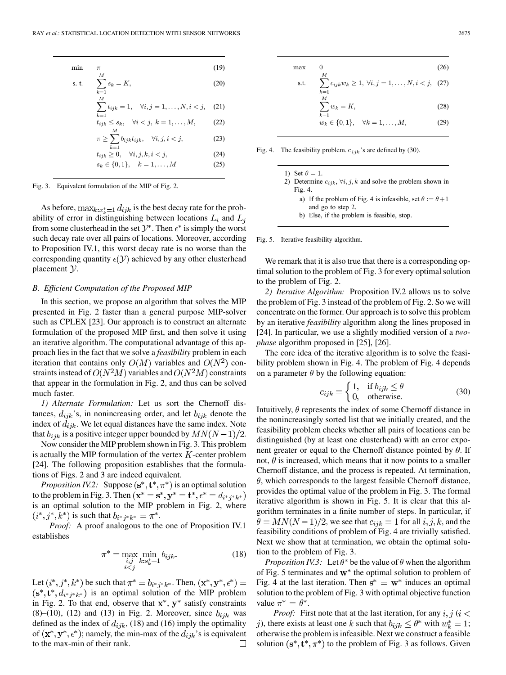$$
\min \pi
$$
\n
$$
s. t. \sum_{k=1}^{M} s_k = K. \tag{19}
$$

$$
\sum_{k=1}^{N} \frac{s_k - \Lambda}{s}
$$
 (20)

$$
\sum_{k=1} t_{ijk} = 1, \quad \forall i, j = 1, \dots, N, i < j, \quad (21)
$$

$$
\begin{array}{ll}\n\iota_{ijk} \leq s_k, & \forall \iota < j, \ \kappa = 1, \dots, 1, \\
M\n\end{array} \tag{22}
$$

$$
\pi \ge \sum_{k=1} b_{ijk} t_{ijk}, \quad \forall i, j, i < j,\tag{23}
$$

$$
t_{ijk} \ge 0, \quad \forall i, j, k, i < j,
$$
\n
$$
s_k \in \{0, 1\}, \quad k = 1, \dots, M \tag{25}
$$

$$
\sigma_k \subset \{0,1\}, \quad n=1,\ldots,m
$$

Fig. 3. Equivalent formulation of the MIP of Fig. 2.

As before,  $\max_{k:x^*=1} d_{ijk}$  is the best decay rate for the probability of error in distinguishing between locations  $L_i$  and  $L_j$ from some clusterhead in the set  $\mathcal{Y}^*$ . Then  $\epsilon^*$  is simply the worst such decay rate over all pairs of locations. Moreover, according to Proposition IV.1, this worst decay rate is no worse than the corresponding quantity  $\epsilon(\mathcal{Y})$  achieved by any other clusterhead placement  $\mathcal{Y}$ .

#### *B. Efficient Computation of the Proposed MIP*

In this section, we propose an algorithm that solves the MIP presented in Fig. 2 faster than a general purpose MIP-solver such as CPLEX [[23\]](#page-13-0). Our approach is to construct an alternate formulation of the proposed MIP first, and then solve it using an iterative algorithm. The computational advantage of this approach lies in the fact that we solve a *feasibility* problem in each iteration that contains only  $O(M)$  variables and  $O(N^2)$  constraints instead of  $O(N^2M)$  variables and  $O(N^2M)$  constraints that appear in the formulation in Fig. 2, and thus can be solved much faster.

*1) Alternate Formulation:* Let us sort the Chernoff distances,  $d_{ijk}$ 's, in nonincreasing order, and let  $b_{ijk}$  denote the index of  $d_{ijk}$ . We let equal distances have the same index. Note that  $b_{ijk}$  is a positive integer upper bounded by  $MN(N-1)/2$ .

Now consider the MIP problem shown in Fig. 3. This problem is actually the MIP formulation of the vertex  $K$ -center problem [\[24](#page-13-0)]. The following proposition establishes that the formulations of Figs. 2 and 3 are indeed equivalent.

*Proposition IV.2:* Suppose  $(s^*, t^*, \pi^*)$  is an optimal solution to the problem in Fig. 3. Then  $({\bf x}^* = {\bf s}^*, {\bf y}^* = {\bf t}^*, \epsilon^* = d_{i^*j^*k^*})$ is an optimal solution to the MIP problem in Fig. 2, where  $(i^*, j^*, k^*)$  is such that  $b_{i^*j^*k^*} = \pi^*$ .

*Proof:* A proof analogous to the one of Proposition IV.1 establishes

$$
\pi^* = \max_{\substack{i,j \ i < j}} \min_{k:s_k^* = 1} b_{ijk}.\tag{18}
$$

Let  $(i^*, j^*, k^*)$  be such that  $\pi^* = b_{i^*j^*k^*}$ . Then,  $({\bf x}^*, {\bf y}^*, \epsilon^*)$  =  $(\mathbf{s}^*, \mathbf{t}^*, d_{i^*i^*k^*})$  is an optimal solution of the MIP problem in Fig. 2. To that end, observe that  $x^*$ ,  $y^*$  satisfy constraints (8)–(10), (12) and (13) in Fig. 2. Moreover, since  $b_{ijk}$  was defined as the index of  $d_{ijk}$ , (18) and (16) imply the optimality of  $(x^*, y^*, \epsilon^*)$ ; namely, the min-max of the  $d_{ijk}$ 's is equivalent to the max-min of their rank.  $\Box$ 

$$
\begin{array}{ll}\n\text{max} & 0 & \text{(26)} \\
\text{s.t} & \sum_{i=1}^{M} c_{i,i}, m_i > 1 \ \forall i \ i = 1 \qquad N \ i < i \quad (27)\n\end{array}
$$

i. 
$$
\sum_{k=1}^{N} c_{ijk} w_k \ge 1, \ \forall i, j = 1, \dots, N, i \le j, \ \ (27)
$$

$$
\sum_{k=1} w_k = K,\tag{28}
$$

$$
w_k \in \{0, 1\}, \quad \forall k = 1, \dots, M,\tag{29}
$$

Fig. 4. The feasibility problem.  $c_{ijk}$ 's are defined by (30).

1) Set  $\theta = 1$ . 2) Determine  $c_{ijk}$ ,  $\forall i, j, k$  and solve the problem shown in Fig. 4. a) If the problem of Fig. 4 is infeasible, set  $\theta := \theta + 1$ and go to step 2. b) Else, if the problem is feasible, stop.

Fig. 5. Iterative feasibility algorithm.

 $\overline{\mathbf{n}}$ 

We remark that it is also true that there is a corresponding optimal solution to the problem of Fig. 3 for every optimal solution to the problem of Fig. 2.

*2) Iterative Algorithm:* Proposition IV.2 allows us to solve the problem of Fig. 3 instead of the problem of Fig. 2. So we will concentrate on the former. Our approach is to solve this problem by an iterative *feasibility* algorithm along the lines proposed in [\[24](#page-13-0)]. In particular, we use a slightly modified version of a *twophase* algorithm proposed in [[25\]](#page-13-0), [\[26](#page-13-0)].

The core idea of the iterative algorithm is to solve the feasibility problem shown in Fig. 4. The problem of Fig. 4 depends on a parameter  $\theta$  by the following equation:

$$
c_{ijk} = \begin{cases} 1, & \text{if } b_{ijk} \le \theta \\ 0, & \text{otherwise.} \end{cases}
$$
 (30)

Intuitively,  $\theta$  represents the index of some Chernoff distance in the nonincreasingly sorted list that we initially created, and the feasibility problem checks whether all pairs of locations can be distinguished (by at least one clusterhead) with an error exponent greater or equal to the Chernoff distance pointed by  $\theta$ . If not,  $\theta$  is increased, which means that it now points to a smaller Chernoff distance, and the process is repeated. At termination,  $\theta$ , which corresponds to the largest feasible Chernoff distance, provides the optimal value of the problem in Fig. 3. The formal iterative algorithm is shown in Fig. 5. It is clear that this algorithm terminates in a finite number of steps. In particular, if  $\theta = MN(N-1)/2$ , we see that  $c_{ijk} = 1$  for all  $i, j, k$ , and the feasibility conditions of problem of Fig. 4 are trivially satisfied. Next we show that at termination, we obtain the optimal solution to the problem of Fig. 3.

*Proposition IV.3:* Let  $\theta^*$  be the value of  $\theta$  when the algorithm of Fig. 5 terminates and  $w^*$  the optimal solution to problem of Fig. 4 at the last iteration. Then  $s^* = w^*$  induces an optimal solution to the problem of Fig. 3 with optimal objective function value  $\pi^* = \theta^*$ .

*Proof:* First note that at the last iteration, for any  $i, j$  ( $i <$ j), there exists at least one k such that  $b_{ijk} \leq \theta^*$  with  $w_k^* = 1$ ; otherwise the problem is infeasible. Next we construct a feasible solution  $(s^*, t^*, \pi^*)$  to the problem of Fig. 3 as follows. Given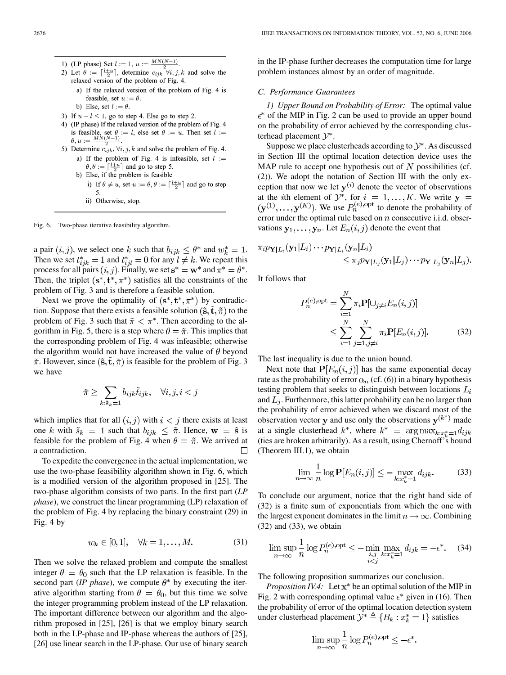1) (LP phase) Set  $l := 1, u := \frac{MN(N-1)}{2}$ 

- 2) Let  $\theta := \left[\frac{l+u}{2}\right]$ , determine  $c_{ijk}$   $\forall i, j, k$  and solve the relaxed version of the problem of Fig. 4.
	- a) If the relaxed version of the problem of Fig. 4 is feasible, set  $u := \theta$ .
	- b) Else, set  $l := \theta$ .
- 3) If  $u l \le 1$ , go to step 4. Else go to step 2.
- 4) (IP phase) If the relaxed version of the problem of Fig. 4 is feasible, set  $\theta := l$ , else set  $\theta := u$ . Then set  $l := \theta, u := \frac{MN(N-1)}{2}$ .
- 5) Determine  $c_{ijk}$ ,  $\forall i, j, k$  and solve the problem of Fig. 4. a) If the problem of Fig. 4 is infeasible, set  $l :=$  $\theta$ ,  $\theta$  :=  $\lceil \frac{l+u}{2} \rceil$  and go to step 5.
	- b) Else, if the problem is feasible i) If  $\theta \neq u$ , set  $u := \theta, \theta := \lceil \frac{l+u}{2} \rceil$  and go to step  $\sim$ 
		- ii) Otherwise, stop.

Fig. 6. Two-phase iterative feasibility algorithm.

a pair  $(i, j)$ , we select one k such that  $b_{ijk} \leq \theta^*$  and  $w_k^* = 1$ . Then we set  $t_{ijk}^* = 1$  and  $t_{ijl}^* = 0$  for any  $l \neq k$ . We repeat this process for all pairs  $(i, j)$ . Finally, we set  $s^* = w^*$  and  $\pi^* = \theta^*$ . Then, the triplet  $(s^*, t^*, \pi^*)$  satisfies all the constraints of the problem of Fig. 3 and is therefore a feasible solution.

Next we prove the optimality of  $(s^*, t^*, \pi^*)$  by contradiction. Suppose that there exists a feasible solution  $(\tilde{\mathbf{s}}, \tilde{\mathbf{t}}, \tilde{\pi})$  to the problem of Fig. 3 such that  $\tilde{\pi} < \pi^*$ . Then according to the algorithm in Fig. 5, there is a step where  $\theta = \tilde{\pi}$ . This implies that the corresponding problem of Fig. 4 was infeasible; otherwise the algorithm would not have increased the value of  $\theta$  beyond  $\tilde{\pi}$ . However, since  $(\tilde{s}, \tilde{t}, \tilde{\pi})$  is feasible for the problem of Fig. 3 we have

$$
\tilde{\pi} \ge \sum_{k: \tilde{s}_k = 1} b_{ijk} \tilde{t}_{ijk}, \quad \forall i, j, i < j
$$

which implies that for all  $(i, j)$  with  $i < j$  there exists at least one k with  $\tilde{s}_k = 1$  such that  $b_{ijk} \leq \tilde{\pi}$ . Hence,  $\mathbf{w} = \tilde{\mathbf{s}}$  is feasible for the problem of Fig. 4 when  $\theta = \tilde{\pi}$ . We arrived at a contradiction.  $\Box$ 

To expedite the convergence in the actual implementation, we use the two-phase feasibility algorithm shown in Fig. 6, which is a modified version of the algorithm proposed in [[25\]](#page-13-0). The two-phase algorithm consists of two parts. In the first part (*LP phase*), we construct the linear programming (LP) relaxation of the problem of Fig. 4 by replacing the binary constraint (29) in Fig. 4 by

$$
w_k \in [0, 1], \quad \forall k = 1, \dots, M. \tag{31}
$$

Then we solve the relaxed problem and compute the smallest integer  $\theta = \theta_0$  such that the LP relaxation is feasible. In the second part (*IP phase*), we compute  $\theta^*$  by executing the iterative algorithm starting from  $\theta = \theta_0$ , but this time we solve the integer programming problem instead of the LP relaxation. The important difference between our algorithm and the algorithm proposed in [\[25](#page-13-0)], [\[26](#page-13-0)] is that we employ binary search both in the LP-phase and IP-phase whereas the authors of [[25\]](#page-13-0), [[26\]](#page-13-0) use linear search in the LP-phase. Our use of binary search in the IP-phase further decreases the computation time for large problem instances almost by an order of magnitude.

#### *C. Performance Guarantees*

*1) Upper Bound on Probability of Error:* The optimal value  $\epsilon^*$  of the MIP in Fig. 2 can be used to provide an upper bound on the probability of error achieved by the corresponding clusterhead placement  $\mathcal{Y}^*$ .

Suppose we place clusterheads according to  $\mathcal{Y}^*$ . As discussed in Section III the optimal location detection device uses the MAP rule to accept one hypothesis out of  $N$  possibilities (cf. (2)). We adopt the notation of Section III with the only exception that now we let  $y^{(i)}$  denote the vector of observations at the *i*th element of  $\mathcal{Y}^*$ , for  $i = 1, ..., K$ . We write  $y =$  $(\mathbf{y}^{(1)}, \dots, \mathbf{y}^{(K)})$ . We use  $P_n^{(e), \text{opt}}$  to denote the probability of error under the optimal rule based on  $n$  consecutive i.i.d. observations  $y_1, \ldots, y_n$ . Let  $E_n(i, j)$  denote the event that

$$
\pi_i p_{\mathbf{Y}|L_i}(\mathbf{y}_1|L_i) \cdots p_{\mathbf{Y}|L_i}(\mathbf{y}_n|L_i) \leq \pi_j p_{\mathbf{Y}|L_j}(\mathbf{y}_1|L_j) \cdots p_{\mathbf{Y}|L_j}(\mathbf{y}_n|L_j).
$$

It follows that

$$
P_n^{(e),\text{opt}} = \sum_{i=1}^N \pi_i \mathbf{P}[\cup_{j \neq i} E_n(i,j)]
$$
  
 
$$
\leq \sum_{i=1}^N \sum_{j=1, j \neq i}^N \pi_i \mathbf{P} [E_n(i,j)]. \tag{32}
$$

The last inequality is due to the union bound.

Next note that  $P[E_n(i, j)]$  has the same exponential decay rate as the probability of error  $\alpha_n$  (cf. (6)) in a binary hypothesis testing problem that seeks to distinguish between locations  $L_i$ and  $L_i$ . Furthermore, this latter probability can be no larger than the probability of error achieved when we discard most of the observation vector y and use only the observations  $y^{(k^*)}$  made at a single clusterhead  $k^*$ , where  $k^* = \arg \max_{k: x_k^* = 1} d_{ijk}$ (ties are broken arbitrarily). As a result, using Chernoff's bound (Theorem III.1), we obtain

$$
\lim_{n \to \infty} \frac{1}{n} \log \mathbf{P}[E_n(i,j)] \le - \max_{k: x_k^* = 1} d_{ijk}.
$$
 (33)

To conclude our argument, notice that the right hand side of (32) is a finite sum of exponentials from which the one with the largest exponent dominates in the limit  $n \to \infty$ . Combining  $(32)$  and  $(33)$ , we obtain

$$
\limsup_{n \to \infty} \frac{1}{n} \log P_n^{(e), \text{opt}} \le - \min_{\substack{i,j \ i < i}} \max_{k: x_k^* = 1} d_{ijk} = -\epsilon^*.
$$
 (34)

The following proposition summarizes our conclusion.

*Proposition IV.4:* Let  $x^*$  be an optimal solution of the MIP in Fig. 2 with corresponding optimal value  $\epsilon^*$  given in (16). Then the probability of error of the optimal location detection system under clusterhead placement  $\mathcal{Y}^* \triangleq \{B_k : x_k^* = 1\}$  satisfies

$$
\limsup_{n \to \infty} \frac{1}{n} \log P_n^{(e), \text{opt}} \le -\epsilon^*
$$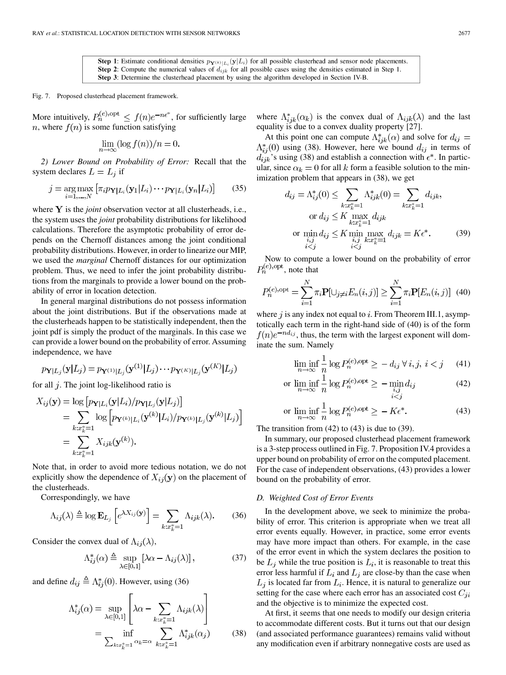| <b>Step 1</b> : Estimate conditional densities $p_{\mathbf{Y}^{(k)} I_i}(\mathbf{y} L_i)$ for all possible clusterhead and sensor node placements. |
|----------------------------------------------------------------------------------------------------------------------------------------------------|
| <b>Step 2</b> : Compute the numerical values of $d_{ijk}$ for all possible cases using the densities estimated in Step 1.                          |
| <b>Step 3:</b> Determine the clusterhead placement by using the algorithm developed in Section IV-B.                                               |

#### Fig. 7. Proposed clusterhead placement framework.

More intuitively,  $P_n^{(e), \text{opt}} \le f(n)e^{-n\epsilon^*}$ , for sufficiently large *n*, where  $f(n)$  is some function satisfying

$$
\lim_{n \to \infty} (\log f(n)) / n = 0.
$$

*2) Lower Bound on Probability of Error:* Recall that the system declares  $L = L_i$  if

$$
j = \underset{i=1,\dots,N}{\arg \max} \left[ \pi_i p_{\mathbf{Y}|L_i}(\mathbf{y}_1|L_i) \cdots p_{\mathbf{Y}|L_i}(\mathbf{y}_n|L_i) \right] \tag{35}
$$

where  $Y$  is the *joint* observation vector at all clusterheads, i.e., the system uses the *joint* probability distributions for likelihood calculations. Therefore the asymptotic probability of error depends on the Chernoff distances among the joint conditional probability distributions. However, in order to linearize our MIP, we used the *marginal* Chernoff distances for our optimization problem. Thus, we need to infer the joint probability distributions from the marginals to provide a lower bound on the probability of error in location detection.

In general marginal distributions do not possess information about the joint distributions. But if the observations made at the clusterheads happen to be statistically independent, then the joint pdf is simply the product of the marginals. In this case we can provide a lower bound on the probability of error. Assuming independence, we have

$$
p_{\mathbf{Y}|L_j}(\mathbf{y}|L_j) = p_{\mathbf{Y}^{(1)}|L_j}(\mathbf{y}^{(1)}|L_j) \cdots p_{\mathbf{Y}^{(K)}|L_j}(\mathbf{y}^{(K)}|L_j)
$$

for all  $j$ . The joint log-likelihood ratio is

$$
X_{ij}(\mathbf{y}) = \log [p_{\mathbf{Y}|L_i}(\mathbf{y}|L_i)/p_{\mathbf{Y}|L_j}(\mathbf{y}|L_j)]
$$
  
= 
$$
\sum_{k:x_k^* = 1} \log [p_{\mathbf{Y}^{(k)}|L_i}(\mathbf{y}^{(k)}|L_i)/p_{\mathbf{Y}^{(k)}|L_j}(\mathbf{y}^{(k)}|L_j)]
$$
  
= 
$$
\sum_{k:x_k^* = 1} X_{ijk}(\mathbf{y}^{(k)}).
$$

Note that, in order to avoid more tedious notation, we do not explicitly show the dependence of  $X_{ij}(\mathbf{y})$  on the placement of the clusterheads.

Correspondingly, we have

$$
\Lambda_{ij}(\lambda) \triangleq \log \mathbf{E}_{L_j} \left[ e^{\lambda X_{ij}(\mathbf{y})} \right] = \sum_{k: x_k^* = 1} \Lambda_{ijk}(\lambda). \tag{36}
$$

Consider the convex dual of  $\Lambda_{ij}(\lambda)$ ,

$$
\Lambda_{ij}^*(\alpha) \triangleq \sup_{\lambda \in [0,1]} \left[ \lambda \alpha - \Lambda_{ij}(\lambda) \right],\tag{37}
$$

and define  $d_{ij} \triangleq \Lambda_{ij}^*(0)$ . However, using (36)

$$
\Lambda_{ij}^*(\alpha) = \sup_{\lambda \in [0,1]} \left[ \lambda \alpha - \sum_{k:x_k^* = 1} \Lambda_{ijk}(\lambda) \right]
$$

$$
= \inf_{\sum_{k:x_k^* = 1} \alpha_k = \alpha} \sum_{k:x_k^* = 1} \Lambda_{ijk}^*(\alpha_j)
$$
(38)

where  $\Lambda_{ijk}^*(\alpha_k)$  is the convex dual of  $\Lambda_{ijk}(\lambda)$  and the last equality is due to a convex duality property [\[27](#page-13-0)].

At this point one can compute  $\Lambda_{ijk}^*(\alpha)$  and solve for  $d_{ij} =$  $\Lambda_{ij}^*(0)$  using (38). However, here we bound  $d_{ij}$  in terms of  $d_{ijk}$ 's using (38) and establish a connection with  $\epsilon^*$ . In particular, since  $\alpha_k = 0$  for all k form a feasible solution to the minimization problem that appears in (38), we get

$$
d_{ij} = \Lambda_{ij}^*(0) \le \sum_{k:x_k^* = 1} \Lambda_{ijk}^*(0) = \sum_{k:x_k^* = 1} d_{ijk},
$$
  
or  $d_{ij} \le K \max_{k:x_k^* = 1} d_{ijk}$   
or  $\min_{\substack{i,j \ i (39)$ 

Now to compute a lower bound on the probability of error  $P_n^{(e),\text{opt}}$ , note that

$$
P_n^{(e),\text{opt}} = \sum_{i=1}^N \pi_i \mathbf{P}[\cup_{j \neq i} E_n(i,j)] \ge \sum_{i=1}^N \pi_i \mathbf{P} [E_n(i,j)] \tag{40}
$$

where  $j$  is any index not equal to  $i$ . From Theorem III.1, asymptotically each term in the right-hand side of (40) is of the form  $f(n)e^{-nd_{ij}}$ , thus, the term with the largest exponent will dominate the sum. Namely

$$
\liminf_{n \to \infty} \frac{1}{n} \log P_n^{(e), \text{opt}} \ge -d_{ij} \,\forall \, i, j, \, i < j \tag{41}
$$

$$
\text{or } \liminf_{n \to \infty} \frac{1}{n} \log P_n^{(e), \text{opt}} \ge -\min_{\substack{i,j \\ i < i}} d_{ij} \tag{42}
$$

$$
\text{or } \liminf_{n \to \infty} \frac{1}{n} \log P_n^{(e), \text{opt}} \ge -K\epsilon^*.
$$
\n<sup>(43)</sup>

The transition from  $(42)$  to  $(43)$  is due to  $(39)$ .

In summary, our proposed clusterhead placement framework is a 3-step process outlined in Fig. 7. Proposition IV.4 provides a upper bound on probability of error on the computed placement. For the case of independent observations, (43) provides a lower bound on the probability of error.

## *D. Weighted Cost of Error Events*

In the development above, we seek to minimize the probability of error. This criterion is appropriate when we treat all error events equally. However, in practice, some error events may have more impact than others. For example, in the case of the error event in which the system declares the position to be  $L_i$  while the true position is  $L_i$ , it is reasonable to treat this error less harmful if  $L_i$  and  $L_j$  are close-by than the case when  $L_i$  is located far from  $L_i$ . Hence, it is natural to generalize our setting for the case where each error has an associated cost  $C_{ii}$ and the objective is to minimize the expected cost.

At first, it seems that one needs to modify our design criteria to accommodate different costs. But it turns out that our design (and associated performance guarantees) remains valid without any modification even if arbitrary nonnegative costs are used as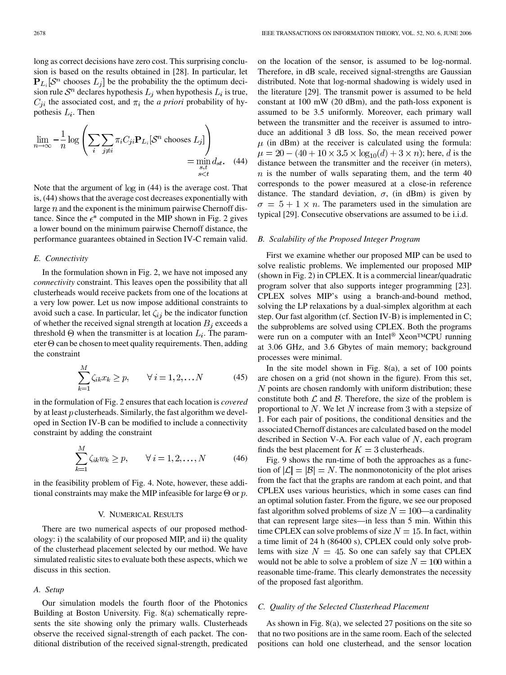long as correct decisions have zero cost. This surprising conclusion is based on the results obtained in [\[28](#page-13-0)]. In particular, let  $P_{L_i}[S^n]$  chooses  $L_i]$  be the probability the the optimum decision rule  $S^n$  declares hypothesis  $L_i$  when hypothesis  $L_i$  is true,  $C_{ji}$  the associated cost, and  $\pi_i$  the *a priori* probability of hypothesis  $L_i$ . Then

$$
\lim_{n \to \infty} -\frac{1}{n} \log \left( \sum_{i} \sum_{j \neq i} \pi_i C_{ji} \mathbf{P}_{L_i} [\mathcal{S}^n \text{ chooses } L_j] \right) = \min_{\substack{s,t \\ s,t}} d_{st}.
$$
 (44)

Note that the argument of  $log$  in  $(44)$  is the average cost. That is, (44) shows that the average cost decreases exponentially with large  $n$  and the exponent is the minimum pairwise Chernoff distance. Since the  $\epsilon^*$  computed in the MIP shown in Fig. 2 gives a lower bound on the minimum pairwise Chernoff distance, the performance guarantees obtained in Section IV-C remain valid.

# *E. Connectivity*

In the formulation shown in Fig. 2, we have not imposed any *connectivity* constraint. This leaves open the possibility that all clusterheads would receive packets from one of the locations at a very low power. Let us now impose additional constraints to avoid such a case. In particular, let  $\zeta_{ij}$  be the indicator function of whether the received signal strength at location  $B_i$  exceeds a threshold  $\Theta$  when the transmitter is at location  $L_i$ . The parameter  $\Theta$  can be chosen to meet quality requirements. Then, adding the constraint

$$
\sum_{k=1}^{M} \zeta_{ik} x_k \ge p, \qquad \forall \, i = 1, 2, \dots N \tag{45}
$$

in the formulation of Fig. 2 ensures that each location is *covered* by at least  $p$  clusterheads. Similarly, the fast algorithm we developed in Section IV-B can be modified to include a connectivity constraint by adding the constraint

$$
\sum_{k=1}^{M} \zeta_{ik} w_k \ge p, \qquad \forall \, i = 1, 2, \dots, N \tag{46}
$$

in the feasibility problem of Fig. 4. Note, however, these additional constraints may make the MIP infeasible for large  $\Theta$  or p.

## V. NUMERICAL RESULTS

There are two numerical aspects of our proposed methodology: i) the scalability of our proposed MIP, and ii) the quality of the clusterhead placement selected by our method. We have simulated realistic sites to evaluate both these aspects, which we discuss in this section.

## *A. Setup*

Our simulation models the fourth floor of the Photonics Building at Boston University. Fig. 8(a) schematically represents the site showing only the primary walls. Clusterheads observe the received signal-strength of each packet. The conditional distribution of the received signal-strength, predicated

on the location of the sensor, is assumed to be log-normal. Therefore, in dB scale, received signal-strengths are Gaussian distributed. Note that log-normal shadowing is widely used in the literature [\[29](#page-13-0)]. The transmit power is assumed to be held constant at 100 mW (20 dBm), and the path-loss exponent is assumed to be 3.5 uniformly. Moreover, each primary wall between the transmitter and the receiver is assumed to introduce an additional 3 dB loss. So, the mean received power  $\mu$  (in dBm) at the receiver is calculated using the formula:  $\mu = 20 - (40 + 10 \times 3.5 \times \log_{10}(d) + 3 \times n)$ ; here, d is the distance between the transmitter and the receiver (in meters),  $n$  is the number of walls separating them, and the term 40 corresponds to the power measured at a close-in reference distance. The standard deviation,  $\sigma$ , (in dBm) is given by  $\sigma = 5 + 1 \times n$ . The parameters used in the simulation are typical [[29\]](#page-13-0). Consecutive observations are assumed to be i.i.d.

## *B. Scalability of the Proposed Integer Program*

First we examine whether our proposed MIP can be used to solve realistic problems. We implemented our proposed MIP (shown in Fig. 2) in CPLEX. It is a commercial linear/quadratic program solver that also supports integer programming [[23\]](#page-13-0). CPLEX solves MIP's using a branch-and-bound method, solving the LP relaxations by a dual-simplex algorithm at each step. Our fast algorithm (cf. Section IV-B) is implemented in C; the subproblems are solved using CPLEX. Both the programs were run on a computer with an Intel® Xeon™CPU running at 3.06 GHz, and 3.6 Gbytes of main memory; background processes were minimal.

In the site model shown in Fig.  $8(a)$ , a set of 100 points are chosen on a grid (not shown in the figure). From this set,  $N$  points are chosen randomly with uniform distribution; these constitute both  $\mathcal L$  and  $\mathcal B$ . Therefore, the size of the problem is proportional to N. We let N increase from 3 with a stepsize of . For each pair of positions, the conditional densities and the associated Chernoff distances are calculated based on the model described in Section V-A. For each value of  $N$ , each program finds the best placement for  $K = 3$  clusterheads.

Fig. 9 shows the run-time of both the approaches as a function of  $|\mathcal{L}| = |\mathcal{B}| = N$ . The nonmonotonicity of the plot arises from the fact that the graphs are random at each point, and that CPLEX uses various heuristics, which in some cases can find an optimal solution faster. From the figure, we see our proposed fast algorithm solved problems of size  $N = 100$ —a cardinality that can represent large sites—in less than 5 min. Within this time CPLEX can solve problems of size  $N = 15$ . In fact, within a time limit of 24 h (86400 s), CPLEX could only solve problems with size  $N = 45$ . So one can safely say that CPLEX would not be able to solve a problem of size  $N = 100$  within a reasonable time-frame. This clearly demonstrates the necessity of the proposed fast algorithm.

#### *C. Quality of the Selected Clusterhead Placement*

As shown in Fig. 8(a), we selected 27 positions on the site so that no two positions are in the same room. Each of the selected positions can hold one clusterhead, and the sensor location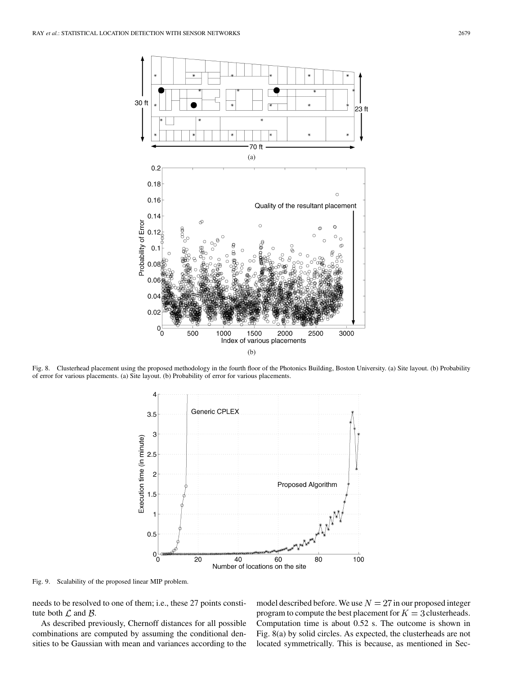

Fig. 8. Clusterhead placement using the proposed methodology in the fourth floor of the Photonics Building, Boston University. (a) Site layout. (b) Probability of error for various placements. (a) Site layout. (b) Probability of error for various placements.



Fig. 9. Scalability of the proposed linear MIP problem.

needs to be resolved to one of them; i.e., these 27 points constitute both  $\mathcal L$  and  $\mathcal B$ .

As described previously, Chernoff distances for all possible combinations are computed by assuming the conditional densities to be Gaussian with mean and variances according to the

model described before. We use  $N = 27$  in our proposed integer program to compute the best placement for  $K=3$  clusterheads. Computation time is about 0.52 s. The outcome is shown in Fig. 8(a) by solid circles. As expected, the clusterheads are not located symmetrically. This is because, as mentioned in Sec-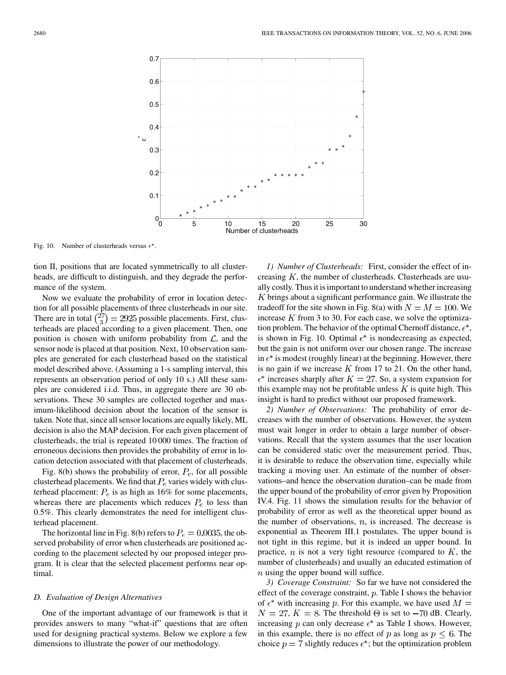

Fig. 10. Number of clusterheads versus  $\epsilon^*$ .

tion II, positions that are located symmetrically to all clusterheads, are difficult to distinguish, and they degrade the performance of the system.

Now we evaluate the probability of error in location detection for all possible placements of three clusterheads in our site. There are in total  $\binom{27}{3} = 2925$  possible placements. First, clusterheads are placed according to a given placement. Then, one position is chosen with uniform probability from  $\mathcal{L}$ , and the sensor node is placed at that position. Next, 10 observation samples are generated for each clusterhead based on the statistical model described above. (Assuming a 1-s sampling interval, this represents an observation period of only 10 s.) All these samples are considered i.i.d. Thus, in aggregate there are 30 observations. These 30 samples are collected together and maximum-likelihood decision about the location of the sensor is taken. Note that, since all sensor locations are equally likely, ML decision is also the MAP decision. For each given placement of clusterheads, the trial is repeated 10 000 times. The fraction of erroneous decisions then provides the probability of error in location detection associated with that placement of clusterheads.

Fig. 8(b) shows the probability of error,  $P_e$ , for all possible clusterhead placements. We find that  $P_e$  varies widely with clusterhead placement:  $P_e$  is as high as 16% for some placements, whereas there are placements which reduces  $P_e$  to less than 0.5%. This clearly demonstrates the need for intelligent clusterhead placement.

The horizontal line in Fig. 8(b) refers to  $P_e = 0.0035$ , the observed probability of error when clusterheads are positioned according to the placement selected by our proposed integer program. It is clear that the selected placement performs near optimal.

#### *D. Evaluation of Design Alternatives*

One of the important advantage of our framework is that it provides answers to many "what-if" questions that are often used for designing practical systems. Below we explore a few dimensions to illustrate the power of our methodology.

*1) Number of Clusterheads:* First, consider the effect of increasing  $K$ , the number of clusterheads. Clusterheads are usually costly. Thus it is important to understand whether increasing  $K$  brings about a significant performance gain. We illustrate the tradeoff for the site shown in Fig. 8(a) with  $N = M = 100$ . We increase  $K$  from 3 to 30. For each case, we solve the optimization problem. The behavior of the optimal Chernoff distance,  $\epsilon^*$ , is shown in Fig. 10. Optimal  $\epsilon^*$  is nondecreasing as expected, but the gain is not uniform over our chosen range. The increase in  $\epsilon^*$  is modest (roughly linear) at the beginning. However, there is no gain if we increase  $K$  from 17 to 21. On the other hand,  $\epsilon^*$  increases sharply after  $K = 27$ . So, a system expansion for this example may not be profitable unless  $K$  is quite high. This insight is hard to predict without our proposed framework.

*2) Number of Observations:* The probability of error decreases with the number of observations. However, the system must wait longer in order to obtain a large number of observations. Recall that the system assumes that the user location can be considered static over the measurement period. Thus, it is desirable to reduce the observation time, especially while tracking a moving user. An estimate of the number of observations–and hence the observation duration–can be made from the upper bound of the probability of error given by Proposition IV.4. Fig. 11 shows the simulation results for the behavior of probability of error as well as the theoretical upper bound as the number of observations,  $n$ , is increased. The decrease is exponential as Theorem III.1 postulates. The upper bound is not tight in this regime, but it is indeed an upper bound. In practice,  $n$  is not a very tight resource (compared to  $K$ , the number of clusterheads) and usually an educated estimation of  $n$  using the upper bound will suffice.

*3) Coverage Constraint:* So far we have not considered the effect of the coverage constraint,  $p$ . Table I shows the behavior of  $\epsilon^*$  with increasing p. For this example, we have used  $M =$  $N = 27$ ,  $K = 8$ . The threshold  $\Theta$  is set to  $-70$  dB. Clearly, increasing p can only decrease  $\epsilon^*$  as Table I shows. However, in this example, there is no effect of p as long as  $p \leq 6$ . The choice  $p = 7$  slightly reduces  $\epsilon^*$ ; but the optimization problem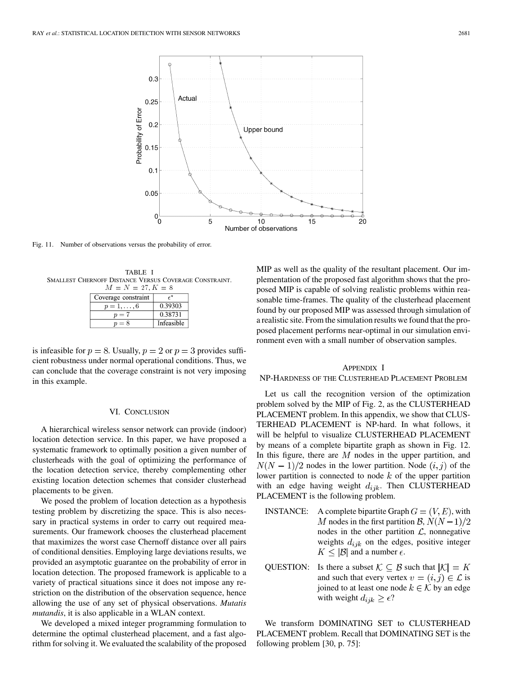

Fig. 11. Number of observations versus the probability of error.

TABLE I SMALLEST CHERNOFF DISTANCE VERSUS COVERAGE CONSTRAINT.  $M = N = 27, K = 8$ 

| Coverage constraint |            |
|---------------------|------------|
| $=1,\ldots,6$       | 0.39303    |
| $=$ $\alpha$        | 0.38731    |
|                     | Infeasible |

is infeasible for  $p = 8$ . Usually,  $p = 2$  or  $p = 3$  provides sufficient robustness under normal operational conditions. Thus, we can conclude that the coverage constraint is not very imposing in this example.

## VI. CONCLUSION

A hierarchical wireless sensor network can provide (indoor) location detection service. In this paper, we have proposed a systematic framework to optimally position a given number of clusterheads with the goal of optimizing the performance of the location detection service, thereby complementing other existing location detection schemes that consider clusterhead placements to be given.

We posed the problem of location detection as a hypothesis testing problem by discretizing the space. This is also necessary in practical systems in order to carry out required measurements. Our framework chooses the clusterhead placement that maximizes the worst case Chernoff distance over all pairs of conditional densities. Employing large deviations results, we provided an asymptotic guarantee on the probability of error in location detection. The proposed framework is applicable to a variety of practical situations since it does not impose any restriction on the distribution of the observation sequence, hence allowing the use of any set of physical observations. *Mutatis mutandis*, it is also applicable in a WLAN context.

We developed a mixed integer programming formulation to determine the optimal clusterhead placement, and a fast algorithm for solving it. We evaluated the scalability of the proposed MIP as well as the quality of the resultant placement. Our implementation of the proposed fast algorithm shows that the proposed MIP is capable of solving realistic problems within reasonable time-frames. The quality of the clusterhead placement found by our proposed MIP was assessed through simulation of a realistic site. From the simulation results we found that the proposed placement performs near-optimal in our simulation environment even with a small number of observation samples.

## APPENDIX I

NP-HARDNESS OF THE CLUSTERHEAD PLACEMENT PROBLEM

Let us call the recognition version of the optimization problem solved by the MIP of Fig. 2, as the CLUSTERHEAD PLACEMENT problem. In this appendix, we show that CLUS-TERHEAD PLACEMENT is NP-hard. In what follows, it will be helpful to visualize CLUSTERHEAD PLACEMENT by means of a complete bipartite graph as shown in Fig. 12. In this figure, there are  $M$  nodes in the upper partition, and  $N(N-1)/2$  nodes in the lower partition. Node  $(i, j)$  of the lower partition is connected to node  $k$  of the upper partition with an edge having weight  $d_{ijk}$ . Then CLUSTERHEAD PLACEMENT is the following problem.

- **INSTANCE:** A complete bipartite Graph  $G = (V, E)$ , with M nodes in the first partition  $\mathcal{B}$ ,  $N(N-1)/2$ nodes in the other partition  $\mathcal{L}$ , nonnegative weights  $d_{ijk}$  on the edges, positive integer  $K \leq |\mathcal{B}|$  and a number  $\epsilon$ .
- QUESTION: Is there a subset  $\mathcal{K} \subseteq \mathcal{B}$  such that  $|\mathcal{K}| = K$ and such that every vertex  $v = (i, j) \in \mathcal{L}$  is joined to at least one node  $k \in \mathcal{K}$  by an edge with weight  $d_{ijk} \geq \epsilon$ ?

We transform DOMINATING SET to CLUSTERHEAD PLACEMENT problem. Recall that DOMINATING SET is the following problem [[30,](#page-13-0) p. 75]: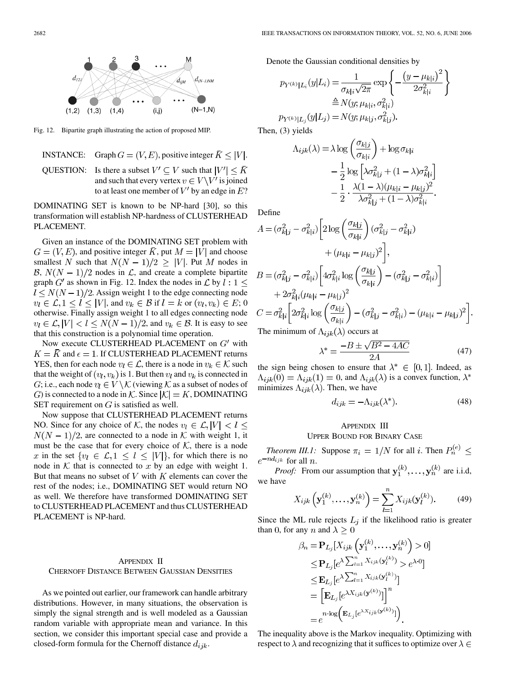

Fig. 12. Bipartite graph illustrating the action of proposed MIP.

**INSTANCE:** Graph  $G = (V, E)$ , positive integer  $\overline{K} \leq |V|$ . QUESTION: Is there a subset  $V' \subseteq V$  such that  $|V'| \leq \overline{K}$ and such that every vertex  $v \in V \backslash V'$  is joined to at least one member of  $V'$  by an edge in  $E$ ?

DOMINATING SET is known to be NP-hard [[30\]](#page-13-0), so this transformation will establish NP-hardness of CLUSTERHEAD PLACEMENT.

Given an instance of the DOMINATING SET problem with  $G = (V, E)$ , and positive integer  $\bar{K}$ , put  $M = |V|$  and choose smallest N such that  $N(N-1)/2 \geq |V|$ . Put M nodes in  $\mathcal{B}, N(N-1)/2$  nodes in  $\mathcal{L}$ , and create a complete bipartite graph  $G'$  as shown in Fig. 12. Index the nodes in  $\mathcal L$  by  $l : 1 \leq$  $l \leq N(N-1)/2$ . Assign weight 1 to the edge connecting node  $v_l \in \mathcal{L}, 1 \leq l \leq |V|$ , and  $v_k \in \mathcal{B}$  if  $l = k$  or  $(v_l, v_k) \in E$ ; 0 otherwise. Finally assign weight 1 to all edges connecting node  $v_l \in \mathcal{L}, |V| < l \leq N(N-1)/2$ , and  $v_k \in \mathcal{B}$ . It is easy to see that this construction is a polynomial time operation.

Now execute CLUSTERHEAD PLACEMENT on  $G'$  with  $K = \overline{K}$  and  $\epsilon = 1$ . If CLUSTERHEAD PLACEMENT returns YES, then for each node  $v_l \in \mathcal{L}$ , there is a node in  $v_k \in \mathcal{K}$  such that the weight of  $(v_l, v_k)$  is 1. But then  $v_l$  and  $v_k$  is connected in G; i.e., each node  $v_l \in V \setminus \mathcal{K}$  (viewing  $\mathcal{K}$  as a subset of nodes of G) is connected to a node in K. Since  $|K| = K$ , DOMINATING SET requirement on  $G$  is satisfied as well.

Now suppose that CLUSTERHEAD PLACEMENT returns NO. Since for any choice of K, the nodes  $v_l \in \mathcal{L}, |V| < l \leq$  $N(N-1)/2$ , are connected to a node in K with weight 1, it must be the case that for every choice of  $K$ , there is a node x in the set  $\{v_l \in \mathcal{L}, 1 \leq l \leq |V|\}$ , for which there is no node in  $K$  that is connected to  $x$  by an edge with weight 1. But that means no subset of  $V$  with  $K$  elements can cover the rest of the nodes; i.e., DOMINATING SET would return NO as well. We therefore have transformed DOMINATING SET to CLUSTERHEAD PLACEMENT and thus CLUSTERHEAD PLACEMENT is NP-hard.

# APPENDIX II

CHERNOFF DISTANCE BETWEEN GAUSSIAN DENSITIES

As we pointed out earlier, our framework can handle arbitrary distributions. However, in many situations, the observation is simply the signal strength and is well modeled as a Gaussian random variable with appropriate mean and variance. In this section, we consider this important special case and provide a closed-form formula for the Chernoff distance  $d_{ijk}$ .

Denote the Gaussian conditional densities by

$$
p_{Y^{(k)}|L_i}(y|L_i) = \frac{1}{\sigma_{k|i}\sqrt{2\pi}} \exp\left\{-\frac{(y-\mu_{k|i})^2}{2\sigma_{k|i}^2}\right\}
$$

$$
\triangleq N(y;\mu_{k|i},\sigma_{k|i}^2)
$$

$$
p_{Y^{(k)}|L_j}(y|L_j) = N(y;\mu_{k|j},\sigma_{k|j}^2).
$$

Then, (3) yields

 $\overline{1}$ 

$$
\Lambda_{ijk}(\lambda) = \lambda \log \left( \frac{\sigma_{k|j}}{\sigma_{k|i}} \right) + \log \sigma_{k|i}
$$

$$
- \frac{1}{2} \log \left[ \lambda \sigma_{k|j}^2 + (1 - \lambda) \sigma_{k|i}^2 \right]
$$

$$
- \frac{1}{2} \cdot \frac{\lambda (1 - \lambda) (\mu_{k|i} - \mu_{k|j})^2}{\lambda \sigma_{k|j}^2 + (1 - \lambda) \sigma_{k|i}^2}.
$$

Define

$$
A = (\sigma_{k|j}^2 - \sigma_{k|i}^2) \left[ 2 \log \left( \frac{\sigma_{k|j}}{\sigma_{k|i}} \right) (\sigma_{k|j}^2 - \sigma_{k|i}^2) + (\mu_{k|i} - \mu_{k|j})^2 \right],
$$
  
\n
$$
B = (\sigma_{k|j}^2 - \sigma_{k|i}^2) \left[ 4\sigma_{k|i}^2 \log \left( \frac{\sigma_{k|j}}{\sigma_{k|i}} \right) - (\sigma_{k|j}^2 - \sigma_{k|i}^2) \right]
$$
  
\n
$$
+ 2\sigma_{k|i}^2 (\mu_{k|i} - \mu_{k|j})^2
$$
  
\n
$$
C = \sigma_{k|i}^2 \left[ 2\sigma_{k|i}^2 \log \left( \frac{\sigma_{k|j}}{\sigma_{k|i}} \right) - (\sigma_{k|j}^2 - \sigma_{k|i}^2) - (\mu_{k|i} - \mu_{k|j})^2 \right].
$$

The minimum of  $\Lambda_{ijk}(\lambda)$  occurs at

$$
\lambda^* = \frac{-B \pm \sqrt{B^2 - 4AC}}{2A} \tag{47}
$$

the sign being chosen to ensure that  $\lambda^* \in [0,1]$ . Indeed, as  $\Lambda_{ijk}(0) = \Lambda_{ijk}(1) = 0$ , and  $\Lambda_{ijk}(\lambda)$  is a convex function,  $\lambda^*$ minimizes  $\Lambda_{ijk}(\lambda)$ . Then, we have

$$
d_{ijk} = -\Lambda_{ijk}(\lambda^*). \tag{48}
$$

# APPENDIX III

#### UPPER BOUND FOR BINARY CASE

*Theorem III.1:* Suppose  $\pi_i = 1/N$  for all i. Then  $P_n^{(e)} \leq$  $e^{-nd_{ijk}}$  for all n.

*Proof:* From our assumption that  $y_1^{(k)}, \ldots, y_n^{(k)}$  are i.i.d, we have

$$
X_{ijk}\left(\mathbf{y}_1^{(k)},\ldots,\mathbf{y}_n^{(k)}\right) = \sum_{l=1}^n X_{ijk}(\mathbf{y}_l^{(k)}).
$$
 (49)

Since the ML rule rejects  $L_j$  if the likelihood ratio is greater than 0, for any *n* and  $\lambda \geq 0$ 

$$
\beta_n = \mathbf{P}_{L_j} [X_{ijk} \left( \mathbf{y}_1^{(k)}, \dots, \mathbf{y}_n^{(k)} \right) > 0]
$$
  
\n
$$
\leq \mathbf{P}_{L_j} [e^{\lambda \sum_{l=1}^n X_{ijk}(\mathbf{y}_l^{(k)})} > e^{\lambda \cdot 0}]
$$
  
\n
$$
\leq \mathbf{E}_{L_j} [e^{\lambda \sum_{l=1}^n X_{ijk}(\mathbf{y}_l^{(k)})}]
$$
  
\n
$$
= \left[ \mathbf{E}_{L_j} [e^{\lambda X_{ijk}(\mathbf{y}^{(k)})}] \right]^n
$$
  
\n
$$
= e^{n \cdot \log \left( \mathbf{E}_{L_j} [e^{\lambda X_{ijk}(\mathbf{y}^{(k)})}] \right)}.
$$

The inequality above is the Markov inequality. Optimizing with respect to  $\lambda$  and recognizing that it suffices to optimize over  $\lambda \in$